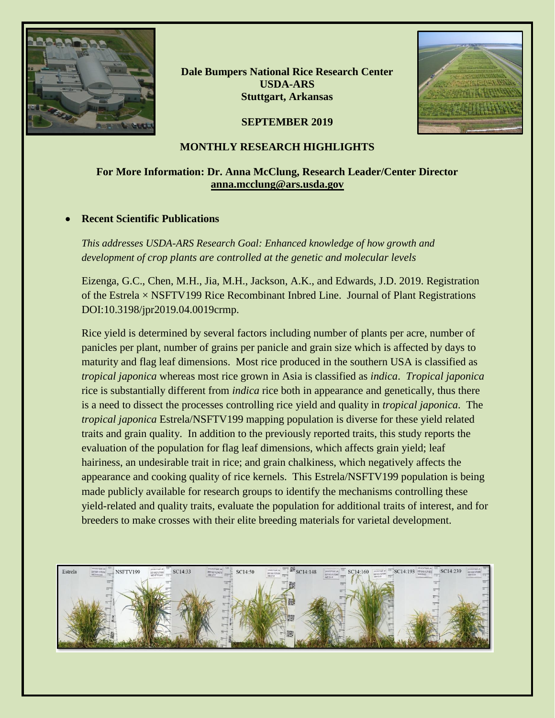

**Dale Bumpers National Rice Research Center USDA-ARS Stuttgart, Arkansas**

**SEPTEMBER 2019**



## **MONTHLY RESEARCH HIGHLIGHTS**

## **For More Information: Dr. Anna McClung, Research Leader/Center Director [anna.mcclung@ars.usda.gov](mailto:anna.mcclung@ars.usda.gov)**

### • **Recent Scientific Publications**

*This addresses USDA-ARS Research Goal: Enhanced knowledge of how growth and development of crop plants are controlled at the genetic and molecular levels*

Eizenga, G.C., Chen, M.H., Jia, M.H., Jackson, A.K., and Edwards, J.D. 2019. Registration of the Estrela  $\times$  NSFTV199 Rice Recombinant Inbred Line. Journal of Plant Registrations DOI:10.3198/jpr2019.04.0019crmp.

Rice yield is determined by several factors including number of plants per acre, number of panicles per plant, number of grains per panicle and grain size which is affected by days to maturity and flag leaf dimensions. Most rice produced in the southern USA is classified as *tropical japonica* whereas most rice grown in Asia is classified as *indica*. *Tropical japonica* rice is substantially different from *indica* rice both in appearance and genetically, thus there is a need to dissect the processes controlling rice yield and quality in *tropical japonica*. The *tropical japonica* Estrela/NSFTV199 mapping population is diverse for these yield related traits and grain quality. In addition to the previously reported traits, this study reports the evaluation of the population for flag leaf dimensions, which affects grain yield; leaf hairiness, an undesirable trait in rice; and grain chalkiness, which negatively affects the appearance and cooking quality of rice kernels. This Estrela/NSFTV199 population is being made publicly available for research groups to identify the mechanisms controlling these yield-related and quality traits, evaluate the population for additional traits of interest, and for breeders to make crosses with their elite breeding materials for varietal development.

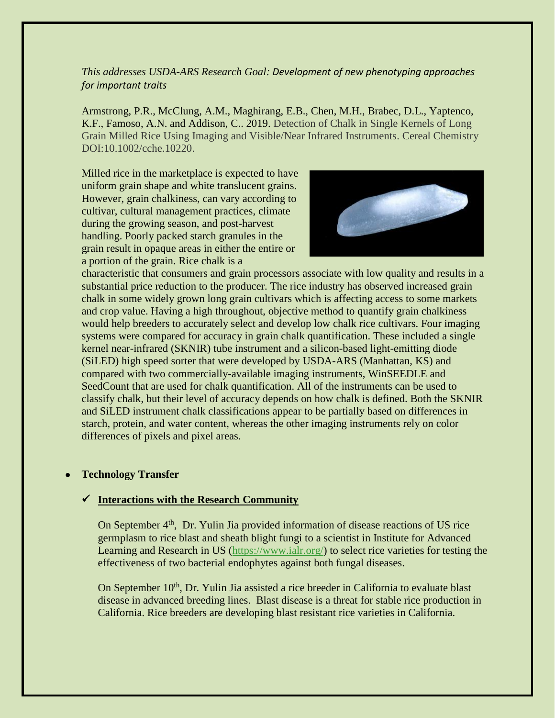## *This addresses USDA-ARS Research Goal: Development of new phenotyping approaches for important traits*

Armstrong, P.R., McClung, A.M., Maghirang, E.B., Chen, M.H., Brabec, D.L., Yaptenco, K.F., Famoso, A.N. and Addison, C.. 2019. Detection of Chalk in Single Kernels of Long Grain Milled Rice Using Imaging and Visible/Near Infrared Instruments. Cereal Chemistry DOI:10.1002/cche.10220.

Milled rice in the marketplace is expected to have uniform grain shape and white translucent grains. However, grain chalkiness, can vary according to cultivar, cultural management practices, climate during the growing season, and post-harvest handling. Poorly packed starch granules in the grain result in opaque areas in either the entire or a portion of the grain. Rice chalk is a



characteristic that consumers and grain processors associate with low quality and results in a substantial price reduction to the producer. The rice industry has observed increased grain chalk in some widely grown long grain cultivars which is affecting access to some markets and crop value. Having a high throughout, objective method to quantify grain chalkiness would help breeders to accurately select and develop low chalk rice cultivars. Four imaging systems were compared for accuracy in grain chalk quantification. These included a single kernel near-infrared (SKNIR) tube instrument and a silicon-based light-emitting diode (SiLED) high speed sorter that were developed by USDA-ARS (Manhattan, KS) and compared with two commercially-available imaging instruments, WinSEEDLE and SeedCount that are used for chalk quantification. All of the instruments can be used to classify chalk, but their level of accuracy depends on how chalk is defined. Both the SKNIR and SiLED instrument chalk classifications appear to be partially based on differences in starch, protein, and water content, whereas the other imaging instruments rely on color differences of pixels and pixel areas.

### • **Technology Transfer**

### ✓ **Interactions with the Research Community**

On September 4<sup>th</sup>, Dr. Yulin Jia provided information of disease reactions of US rice germplasm to rice blast and sheath blight fungi to a scientist in Institute for Advanced Learning and Research in US [\(https://www.ialr.org/\)](https://www.ialr.org/) to select rice varieties for testing the effectiveness of two bacterial endophytes against both fungal diseases.

On September 10<sup>th</sup>, Dr. Yulin Jia assisted a rice breeder in California to evaluate blast disease in advanced breeding lines. Blast disease is a threat for stable rice production in California. Rice breeders are developing blast resistant rice varieties in California.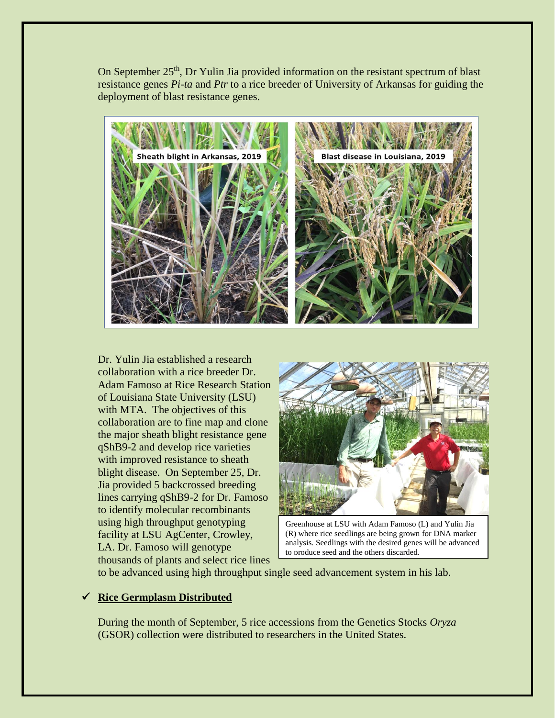On September 25<sup>th</sup>, Dr Yulin Jia provided information on the resistant spectrum of blast resistance genes *Pi-ta* and *Ptr* to a rice breeder of University of Arkansas for guiding the deployment of blast resistance genes.



Dr. Yulin Jia established a research collaboration with a rice breeder Dr. Adam Famoso at Rice Research Station of Louisiana State University (LSU) with MTA. The objectives of this collaboration are to fine map and clone the major sheath blight resistance gene qShB9-2 and develop rice varieties with improved resistance to sheath blight disease. On September 25, Dr. Jia provided 5 backcrossed breeding lines carrying qShB9-2 for Dr. Famoso to identify molecular recombinants using high throughput genotyping facility at LSU AgCenter, Crowley, LA. Dr. Famoso will genotype thousands of plants and select rice lines



Greenhouse at LSU with Adam Famoso (L) and Yulin Jia (R) where rice seedlings are being grown for DNA marker analysis. Seedlings with the desired genes will be advanced to produce seed and the others discarded.

to be advanced using high throughput single seed advancement system in his lab.

# ✓ **Rice Germplasm Distributed**

During the month of September, 5 rice accessions from the Genetics Stocks *Oryza*  (GSOR) collection were distributed to researchers in the United States.